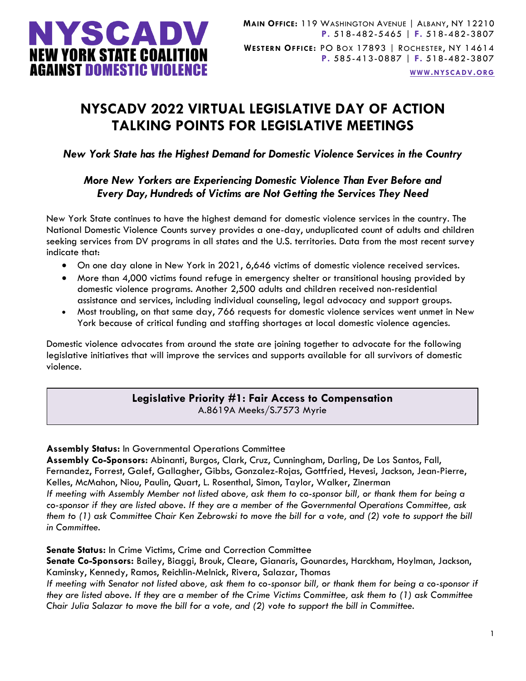

**WWW.[NYSCADV](file://///server/data/Official%20Documents/NYSCADV%20Logo%20&%20Branding/2015%20Letterhead/www.nyscadv.org).ORG**

# **NYSCADV 2022 VIRTUAL LEGISLATIVE DAY OF ACTION TALKING POINTS FOR LEGISLATIVE MEETINGS**

# *New York State has the Highest Demand for Domestic Violence Services in the Country*

# *More New Yorkers are Experiencing Domestic Violence Than Ever Before and Every Day, Hundreds of Victims are Not Getting the Services They Need*

New York State continues to have the highest demand for domestic violence services in the country. The National Domestic Violence Counts survey provides a one-day, unduplicated count of adults and children seeking services from DV programs in all states and the U.S. territories. Data from the most recent survey indicate that:

- On one day alone in New York in 2021, 6,646 victims of domestic violence received services.
- More than 4,000 victims found refuge in emergency shelter or transitional housing provided by domestic violence programs. Another 2,500 adults and children received non-residential assistance and services, including individual counseling, legal advocacy and support groups.
- Most troubling, on that same day, 766 requests for domestic violence services went unmet in New York because of critical funding and staffing shortages at local domestic violence agencies.

Domestic violence advocates from around the state are joining together to advocate for the following legislative initiatives that will improve the services and supports available for all survivors of domestic violence.

# **Legislative Priority #1: Fair Access to Compensation** A.8619A Meeks/S.7573 Myrie

# **Assembly Status:** In Governmental Operations Committee

**Assembly Co-Sponsors:** Abinanti, Burgos, Clark, Cruz, Cunningham, Darling, De Los Santos, Fall, Fernandez, Forrest, Galef, Gallagher, Gibbs, Gonzalez-Rojas, Gottfried, Hevesi, Jackson, Jean-Pierre, Kelles, McMahon, Niou, Paulin, Quart, L. Rosenthal, Simon, Taylor, Walker, Zinerman *If meeting with Assembly Member not listed above, ask them to co-sponsor bill, or thank them for being a co-sponsor if they are listed above. If they are a member of the Governmental Operations Committee, ask them to (1) ask Committee Chair Ken Zebrowski to move the bill for a vote, and (2) vote to support the bill in Committee.*

**Senate Status:** In Crime Victims, Crime and Correction Committee

**Senate Co-Sponsors:** Bailey, Biaggi, Brouk, Cleare, Gianaris, Gounardes, Harckham, Hoylman, Jackson, Kaminsky, Kennedy, Ramos, Reichlin-Melnick, Rivera, Salazar, Thomas

*If meeting with Senator not listed above, ask them to co-sponsor bill, or thank them for being a co-sponsor if they are listed above. If they are a member of the Crime Victims Committee, ask them to (1) ask Committee Chair Julia Salazar to move the bill for a vote, and (2) vote to support the bill in Committee.*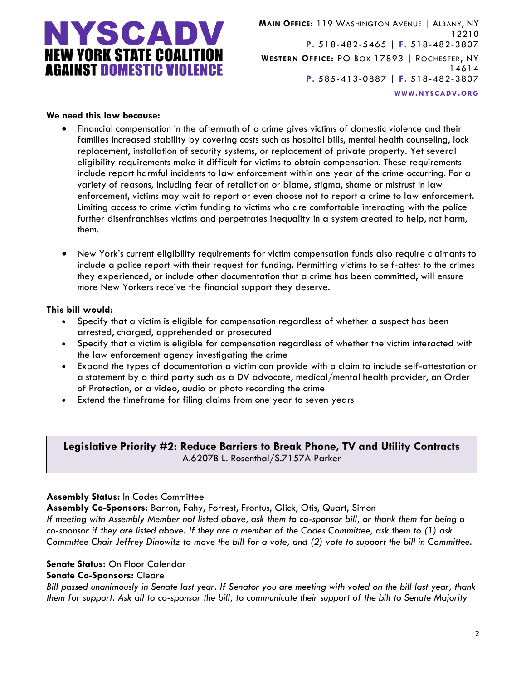

#### **We need this law because:**

- Financial compensation in the aftermath of a crime gives victims of domestic violence and their families increased stability by covering costs such as hospital bills, mental health counseling, lock replacement, installation of security systems, or replacement of private property. Yet several eligibility requirements make it difficult for victims to obtain compensation. These requirements include report harmful incidents to law enforcement within one year of the crime occurring. For a variety of reasons, including fear of retaliation or blame, stigma, shame or mistrust in law enforcement, victims may wait to report or even choose not to report a crime to law enforcement. Limiting access to crime victim funding to victims who are comfortable interacting with the police further disenfranchises victims and perpetrates inequality in a system created to help, not harm, them.
- New York's current eligibility requirements for victim compensation funds also require claimants to include a police report with their request for funding. Permitting victims to self-attest to the crimes they experienced, or include other documentation that a crime has been committed, will ensure more New Yorkers receive the financial support they deserve.

#### **This bill would:**

- Specify that a victim is eligible for compensation regardless of whether a suspect has been arrested, charged, apprehended or prosecuted
- Specify that a victim is eligible for compensation regardless of whether the victim interacted with the law enforcement agency investigating the crime
- Expand the types of documentation a victim can provide with a claim to include self-attestation or a statement by a third party such as a DV advocate, medical/mental health provider, an Order of Protection, or a video, audio or photo recording the crime
- Extend the timeframe for filing claims from one year to seven years

# **Legislative Priority #2: Reduce Barriers to Break Phone, TV and Utility Contracts** A.6207B L. Rosenthal/S.7157A Parker

#### **Assembly Status:** In Codes Committee

**Assembly Co-Sponsors:** Barron, Fahy, Forrest, Frontus, Glick, Otis, Quart, Simon *If meeting with Assembly Member not listed above, ask them to co-sponsor bill, or thank them for being a co-sponsor if they are listed above. If they are a member of the Codes Committee, ask them to (1) ask Committee Chair Jeffrey Dinowitz to move the bill for a vote, and (2) vote to support the bill in Committee.*

#### **Senate Status:** On Floor Calendar

#### **Senate Co-Sponsors:** Cleare

*Bill passed unanimously in Senate last year. If Senator you are meeting with voted on the bill last year, thank them for support. Ask all to co-sponsor the bill, to communicate their support of the bill to Senate Majority*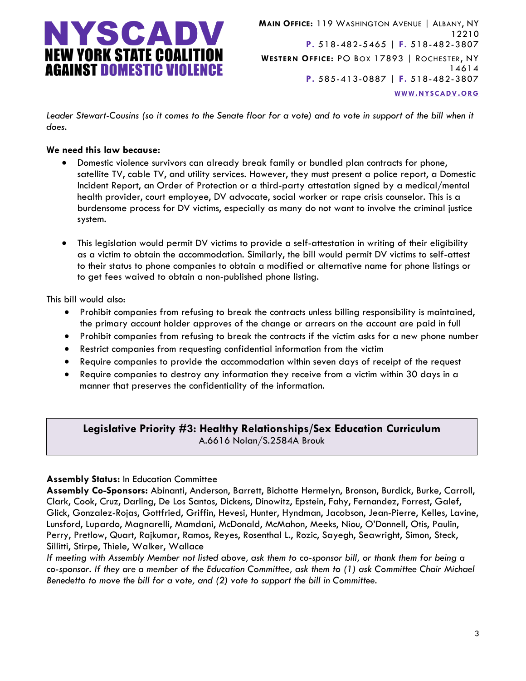

*Leader Stewart-Cousins (so it comes to the Senate floor for a vote) and to vote in support of the bill when it does.*

#### **We need this law because:**

- Domestic violence survivors can already break family or bundled plan contracts for phone, satellite TV, cable TV, and utility services. However, they must present a police report, a Domestic Incident Report, an Order of Protection or a third-party attestation signed by a medical/mental health provider, court employee, DV advocate, social worker or rape crisis counselor. This is a burdensome process for DV victims, especially as many do not want to involve the criminal justice system.
- This legislation would permit DV victims to provide a self-attestation in writing of their eligibility as a victim to obtain the accommodation. Similarly, the bill would permit DV victims to self-attest to their status to phone companies to obtain a modified or alternative name for phone listings or to get fees waived to obtain a non-published phone listing.

This bill would also:

- Prohibit companies from refusing to break the contracts unless billing responsibility is maintained, the primary account holder approves of the change or arrears on the account are paid in full
- Prohibit companies from refusing to break the contracts if the victim asks for a new phone number
- Restrict companies from requesting confidential information from the victim
- Require companies to provide the accommodation within seven days of receipt of the request
- Require companies to destroy any information they receive from a victim within 30 days in a manner that preserves the confidentiality of the information.

# **Legislative Priority #3: Healthy Relationships/Sex Education Curriculum** A.6616 Nolan/S.2584A Brouk

#### **Assembly Status:** In Education Committee

**Assembly Co-Sponsors:** Abinanti, Anderson, Barrett, Bichotte Hermelyn, Bronson, Burdick, Burke, Carroll, Clark, Cook, Cruz, Darling, De Los Santos, Dickens, Dinowitz, Epstein, Fahy, Fernandez, Forrest, Galef, Glick, Gonzalez-Rojas, Gottfried, Griffin, Hevesi, Hunter, Hyndman, Jacobson, Jean-Pierre, Kelles, Lavine, Lunsford, Lupardo, Magnarelli, Mamdani, McDonald, McMahon, Meeks, Niou, O'Donnell, Otis, Paulin, Perry, Pretlow, Quart, Rajkumar, Ramos, Reyes, Rosenthal L., Rozic, Sayegh, Seawright, Simon, Steck, Sillitti, Stirpe, Thiele, Walker, Wallace

*If meeting with Assembly Member not listed above, ask them to co-sponsor bill, or thank them for being a co-sponsor. If they are a member of the Education Committee, ask them to (1) ask Committee Chair Michael Benedetto to move the bill for a vote, and (2) vote to support the bill in Committee.*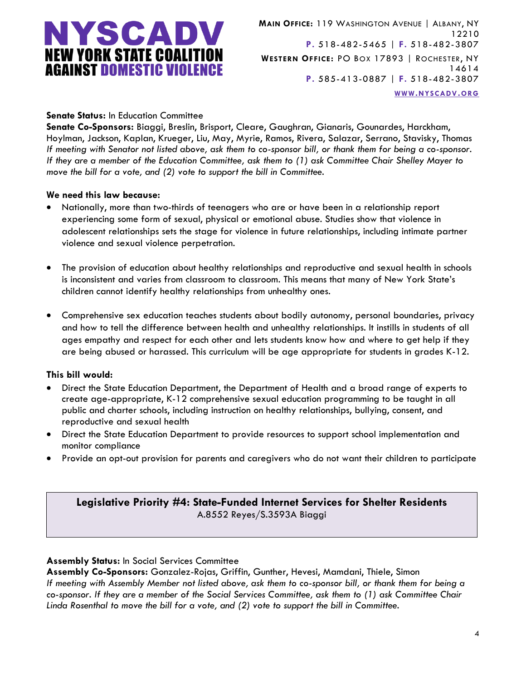

#### **Senate Status:** In Education Committee

**Senate Co-Sponsors:** Biaggi, Breslin, Brisport, Cleare, Gaughran, Gianaris, Gounardes, Harckham, Hoylman, Jackson, Kaplan, Krueger, Liu, May, Myrie, Ramos, Rivera, Salazar, Serrano, Stavisky, Thomas *If meeting with Senator not listed above, ask them to co-sponsor bill, or thank them for being a co-sponsor. If they are a member of the Education Committee, ask them to (1) ask Committee Chair Shelley Mayer to move the bill for a vote, and (2) vote to support the bill in Committee.*

#### **We need this law because:**

- Nationally, more than two-thirds of teenagers who are or have been in a relationship report experiencing some form of sexual, physical or emotional abuse. Studies show that violence in adolescent relationships sets the stage for violence in future relationships, including intimate partner violence and sexual violence perpetration.
- The provision of education about healthy relationships and reproductive and sexual health in schools is inconsistent and varies from classroom to classroom. This means that many of New York State's children cannot identify healthy relationships from unhealthy ones.
- Comprehensive sex education teaches students about bodily autonomy, personal boundaries, privacy and how to tell the difference between health and unhealthy relationships. It instills in students of all ages empathy and respect for each other and lets students know how and where to get help if they are being abused or harassed. This curriculum will be age appropriate for students in grades K-12.

#### **This bill would:**

- Direct the State Education Department, the Department of Health and a broad range of experts to create age-appropriate, K-12 comprehensive sexual education programming to be taught in all public and charter schools, including instruction on healthy relationships, bullying, consent, and reproductive and sexual health
- Direct the State Education Department to provide resources to support school implementation and monitor compliance
- Provide an opt-out provision for parents and caregivers who do not want their children to participate

# **Legislative Priority #4: State-Funded Internet Services for Shelter Residents** A.8552 Reyes/S.3593A Biaggi

#### **Assembly Status:** In Social Services Committee

**Assembly Co-Sponsors:** Gonzalez-Rojas, Griffin, Gunther, Hevesi, Mamdani, Thiele, Simon *If meeting with Assembly Member not listed above, ask them to co-sponsor bill, or thank them for being a co-sponsor. If they are a member of the Social Services Committee, ask them to (1) ask Committee Chair Linda Rosenthal to move the bill for a vote, and (2) vote to support the bill in Committee.*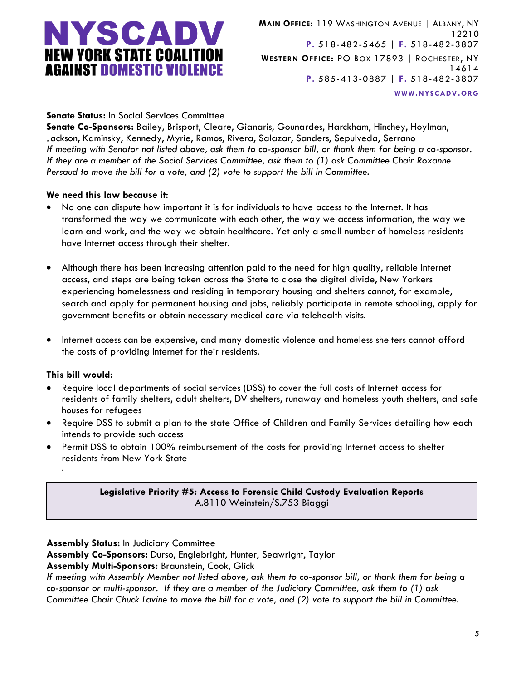

## **Senate Status:** In Social Services Committee

**Senate Co-Sponsors:** Bailey, Brisport, Cleare, Gianaris, Gounardes, Harckham, Hinchey, Hoylman, Jackson, Kaminsky, Kennedy, Myrie, Ramos, Rivera, Salazar, Sanders, Sepulveda, Serrano *If meeting with Senator not listed above, ask them to co-sponsor bill, or thank them for being a co-sponsor. If they are a member of the Social Services Committee, ask them to (1) ask Committee Chair Roxanne Persaud to move the bill for a vote, and (2) vote to support the bill in Committee.*

#### **We need this law because it:**

- No one can dispute how important it is for individuals to have access to the Internet. It has transformed the way we communicate with each other, the way we access information, the way we learn and work, and the way we obtain healthcare. Yet only a small number of homeless residents have Internet access through their shelter.
- Although there has been increasing attention paid to the need for high quality, reliable Internet access, and steps are being taken across the State to close the digital divide, New Yorkers experiencing homelessness and residing in temporary housing and shelters cannot, for example, search and apply for permanent housing and jobs, reliably participate in remote schooling, apply for government benefits or obtain necessary medical care via telehealth visits.
- Internet access can be expensive, and many domestic violence and homeless shelters cannot afford the costs of providing Internet for their residents.

# **This bill would:**

.

- Require local departments of social services (DSS) to cover the full costs of Internet access for residents of family shelters, adult shelters, DV shelters, runaway and homeless youth shelters, and safe houses for refugees
- Require DSS to submit a plan to the state Office of Children and Family Services detailing how each intends to provide such access
- Permit DSS to obtain 100% reimbursement of the costs for providing Internet access to shelter residents from New York State

## **Legislative Priority #5: Access to Forensic Child Custody Evaluation Reports** A.8110 Weinstein/S.753 Biaggi

**Assembly Status:** In Judiciary Committee

**Assembly Co-Sponsors:** Durso, Englebright, Hunter, Seawright, Taylor

**Assembly Multi-Sponsors:** Braunstein, Cook, Glick

*If meeting with Assembly Member not listed above, ask them to co-sponsor bill, or thank them for being a co-sponsor or multi-sponsor. If they are a member of the Judiciary Committee, ask them to (1) ask Committee Chair Chuck Lavine to move the bill for a vote, and (2) vote to support the bill in Committee.*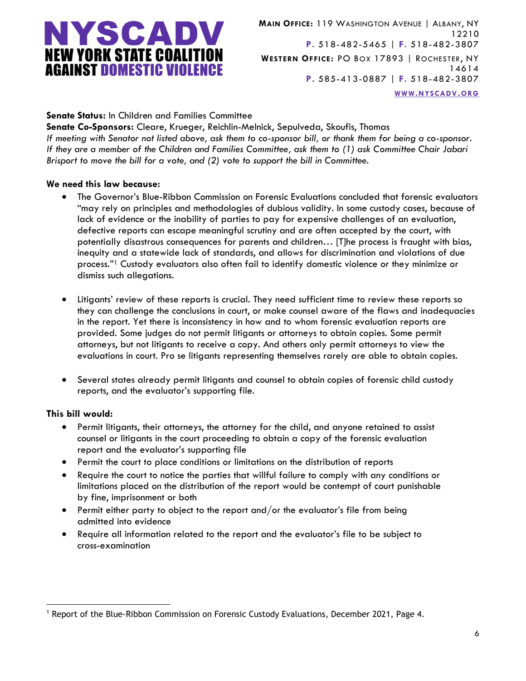

#### **Senate Status:** In Children and Families Committee

**Senate Co-Sponsors:** Cleare, Krueger, Reichlin-Melnick, Sepulveda, Skoufis, Thomas *If meeting with Senator not listed above, ask them to co-sponsor bill, or thank them for being a co-sponsor. If they are a member of the Children and Families Committee, ask them to (1) ask Committee Chair Jabari Brisport to move the bill for a vote, and (2) vote to support the bill in Committee.*

#### **We need this law because:**

- The Governor's Blue-Ribbon Commission on Forensic Evaluations concluded that forensic evaluators "may rely on principles and methodologies of dubious validity. In some custody cases, because of lack of evidence or the inability of parties to pay for expensive challenges of an evaluation, defective reports can escape meaningful scrutiny and are often accepted by the court, with potentially disastrous consequences for parents and children… [T]he process is fraught with bias, inequity and a statewide lack of standards, and allows for discrimination and violations of due process."<sup>1</sup> Custody evaluators also often fail to identify domestic violence or they minimize or dismiss such allegations.
- Litigants' review of these reports is crucial. They need sufficient time to review these reports so they can challenge the conclusions in court, or make counsel aware of the flaws and inadequacies in the report. Yet there is inconsistency in how and to whom forensic evaluation reports are provided. Some judges do not permit litigants or attorneys to obtain copies. Some permit attorneys, but not litigants to receive a copy. And others only permit attorneys to view the evaluations in court. Pro se litigants representing themselves rarely are able to obtain copies.
- Several states already permit litigants and counsel to obtain copies of forensic child custody reports, and the evaluator's supporting file.

#### **This bill would:**

- Permit litigants, their attorneys, the attorney for the child, and anyone retained to assist counsel or litigants in the court proceeding to obtain a copy of the forensic evaluation report and the evaluator's supporting file
- Permit the court to place conditions or limitations on the distribution of reports
- Require the court to notice the parties that willful failure to comply with any conditions or limitations placed on the distribution of the report would be contempt of court punishable by fine, imprisonment or both
- Permit either party to object to the report and/or the evaluator's file from being admitted into evidence
- Require all information related to the report and the evaluator's file to be subject to cross-examination

<sup>1</sup> Report of the Blue-Ribbon Commission on Forensic Custody Evaluations, December 2021, Page 4.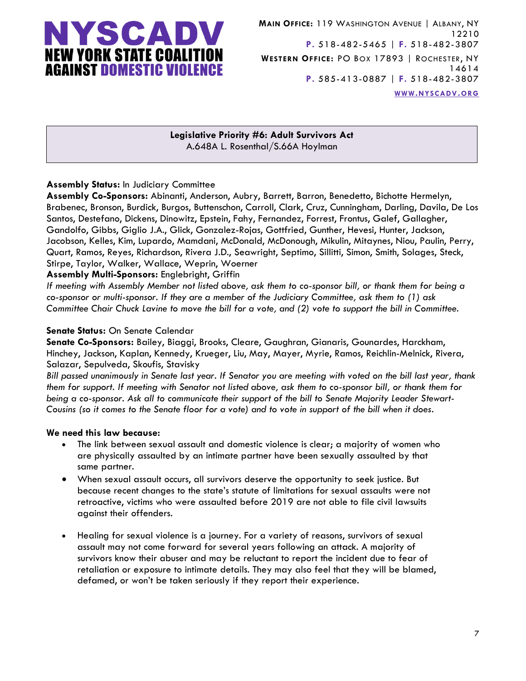

**Legislative Priority #6: Adult Survivors Act** A.648A L. Rosenthal/S.66A Hoylman

#### **Assembly Status:** In Judiciary Committee

**Assembly Co-Sponsors:** Abinanti, Anderson, Aubry, Barrett, Barron, Benedetto, Bichotte Hermelyn, Brabenec, Bronson, Burdick, Burgos, Buttenschon, Carroll, Clark, Cruz, Cunningham, Darling, Davila, De Los Santos, Destefano, Dickens, Dinowitz, Epstein, Fahy, Fernandez, Forrest, Frontus, Galef, Gallagher, Gandolfo, Gibbs, Giglio J.A., Glick, Gonzalez-Rojas, Gottfried, Gunther, Hevesi, Hunter, Jackson, Jacobson, Kelles, Kim, Lupardo, Mamdani, McDonald, McDonough, Mikulin, Mitaynes, Niou, Paulin, Perry, Quart, Ramos, Reyes, Richardson, Rivera J.D., Seawright, Septimo, Sillitti, Simon, Smith, Solages, Steck, Stirpe, Taylor, Walker, Wallace, Weprin, Woerner

#### **Assembly Multi-Sponsors:** Englebright, Griffin

*If meeting with Assembly Member not listed above, ask them to co-sponsor bill, or thank them for being a co-sponsor or multi-sponsor. If they are a member of the Judiciary Committee, ask them to (1) ask Committee Chair Chuck Lavine to move the bill for a vote, and (2) vote to support the bill in Committee.*

#### **Senate Status:** On Senate Calendar

**Senate Co-Sponsors:** Bailey, Biaggi, Brooks, Cleare, Gaughran, Gianaris, Gounardes, Harckham, Hinchey, Jackson, Kaplan, Kennedy, Krueger, Liu, May, Mayer, Myrie, Ramos, Reichlin-Melnick, Rivera, Salazar, Sepulveda, Skoufis, Stavisky

*Bill passed unanimously in Senate last year. If Senator you are meeting with voted on the bill last year, thank them for support. If meeting with Senator not listed above, ask them to co-sponsor bill, or thank them for being a co-sponsor. Ask all to communicate their support of the bill to Senate Majority Leader Stewart-Cousins (so it comes to the Senate floor for a vote) and to vote in support of the bill when it does.*

#### **We need this law because:**

- The link between sexual assault and domestic violence is clear; a majority of women who are physically assaulted by an intimate partner have been sexually assaulted by that same partner.
- When sexual assault occurs, all survivors deserve the opportunity to seek justice. But because recent changes to the state's statute of limitations for sexual assaults were not retroactive, victims who were assaulted before 2019 are not able to file civil lawsuits against their offenders.
- Healing for sexual violence is a journey. For a variety of reasons, survivors of sexual assault may not come forward for several years following an attack. A majority of survivors know their abuser and may be reluctant to report the incident due to fear of retaliation or exposure to intimate details. They may also feel that they will be blamed, defamed, or won't be taken seriously if they report their experience.